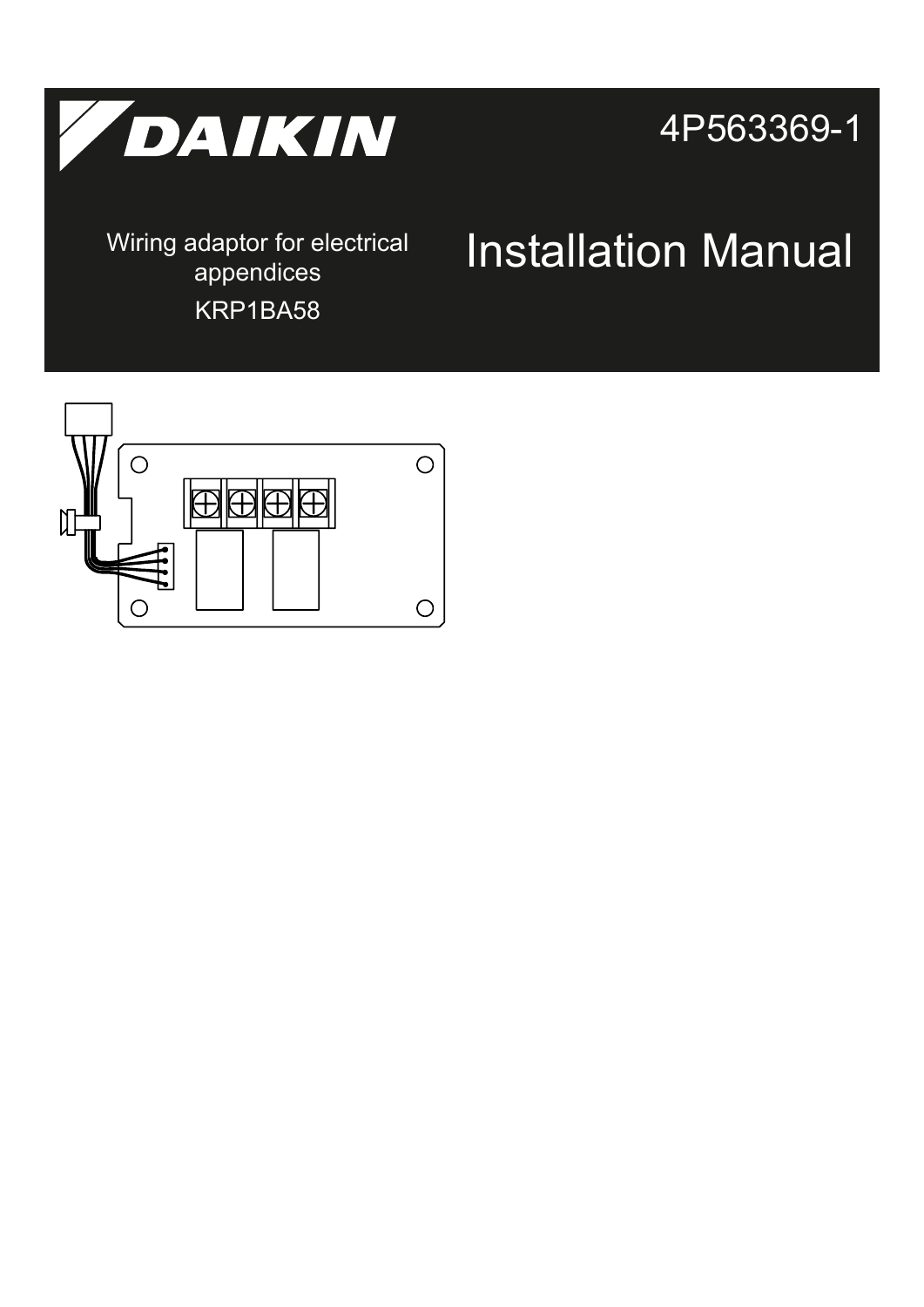

### 4P563369-1

Wiring adaptor for electrical appendices KRP1BA58

## Installation Manual

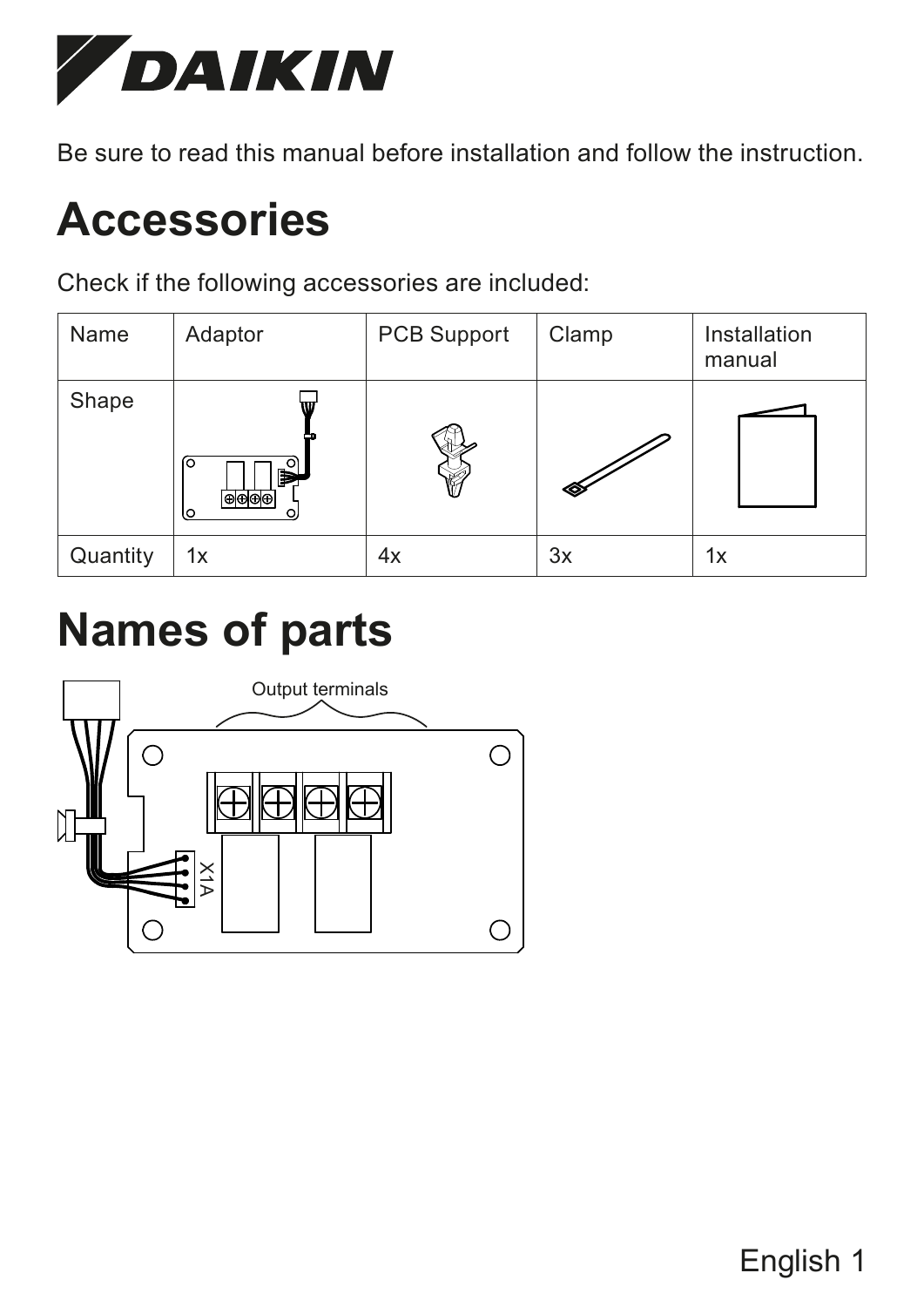

Be sure to read this manual before installation and follow the instruction.

# **Accessories**

Check if the following accessories are included:

| Name     | Adaptor            | PCB Support | Clamp | Installation<br>manual |
|----------|--------------------|-------------|-------|------------------------|
| Shape    | m<br>ſo<br>в<br>١o |             |       |                        |
| Quantity | 1x                 | 4x          | 3x    | 1x                     |

# **Names of parts**

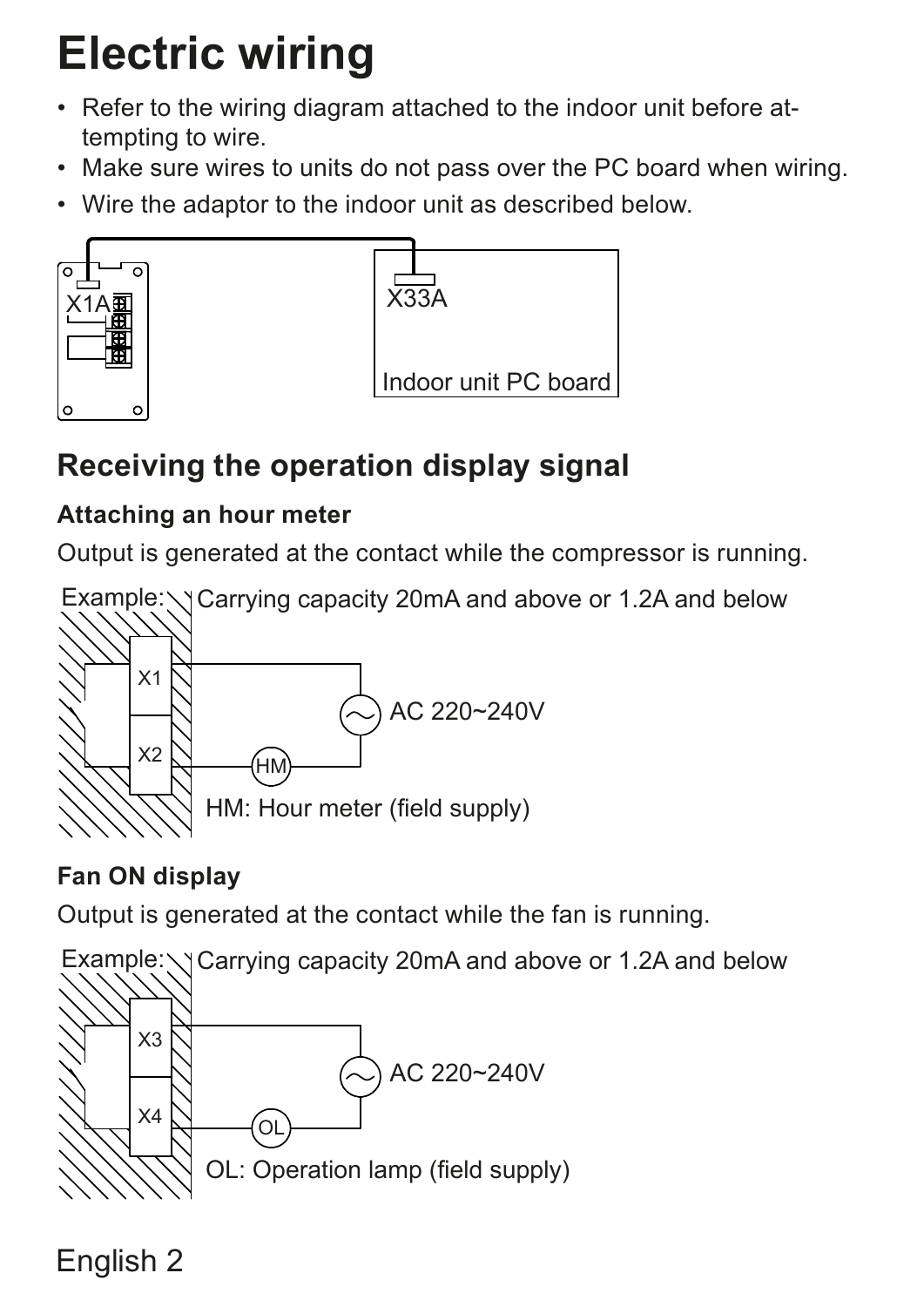# **Electric wiring**

- Refer to the wiring diagram attached to the indoor unit before attempting to wire.
- Make sure wires to units do not pass over the PC board when wiring.
- Wire the adaptor to the indoor unit as described below.





## **Receiving the operation display signal**

#### **Attaching an hour meter**

Output is generated at the contact while the compressor is running.



#### **Fan ON display**

Output is generated at the contact while the fan is running.



English 2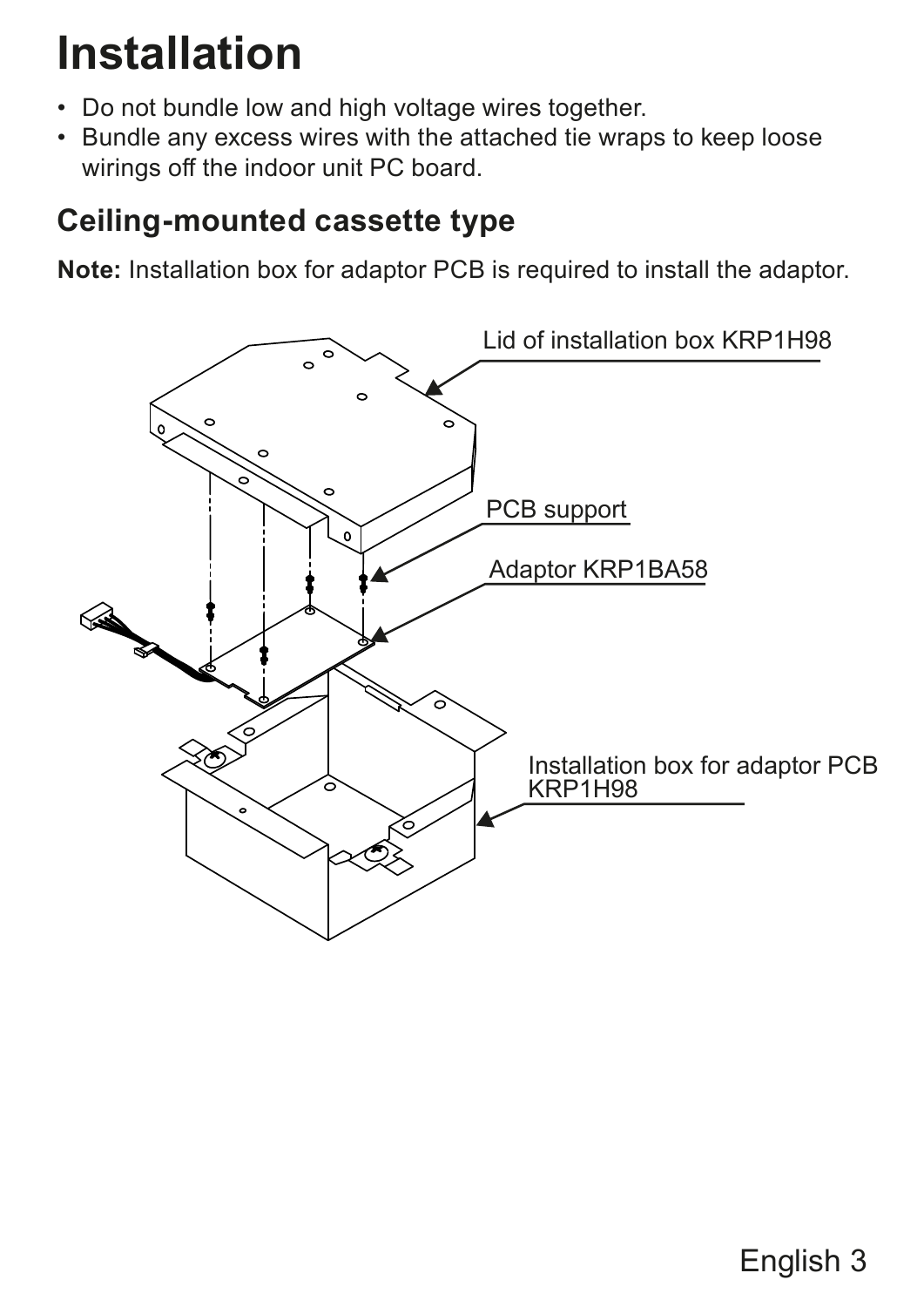# **Installation**

- Do not bundle low and high voltage wires together.
- Bundle any excess wires with the attached tie wraps to keep loose wirings off the indoor unit PC board.

#### **Ceiling-mounted cassette type**

**Note:** Installation box for adaptor PCB is required to install the adaptor.

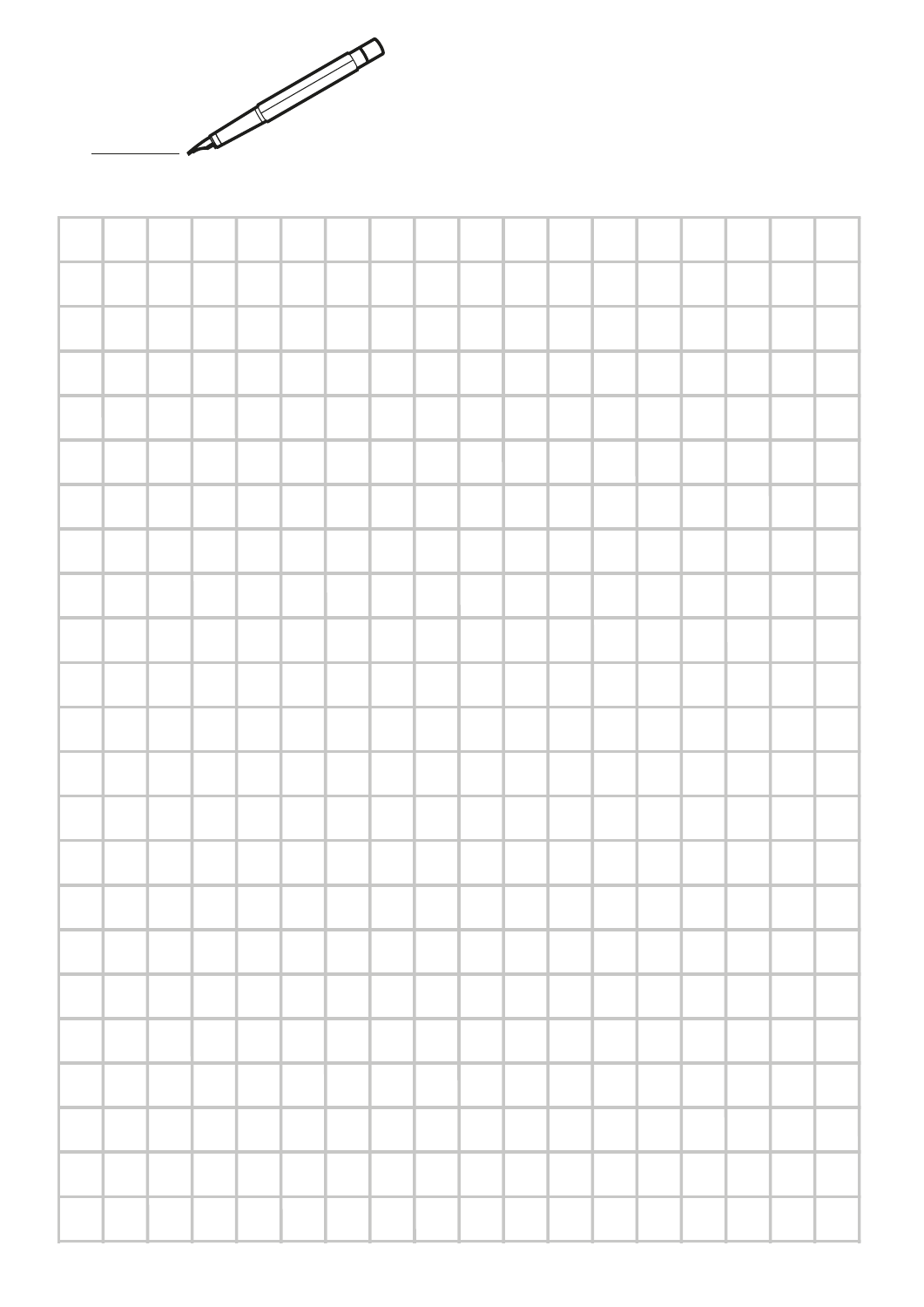

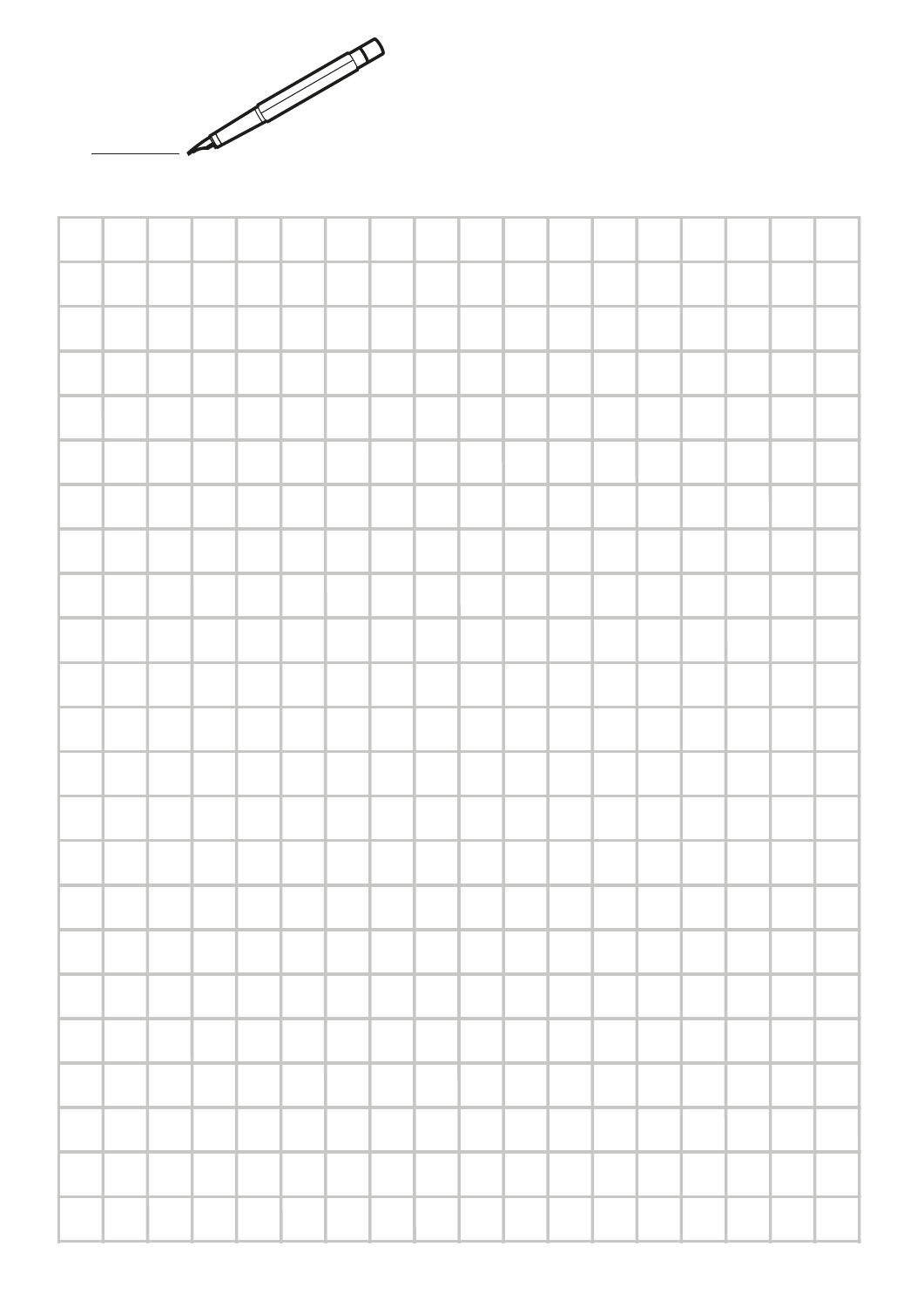